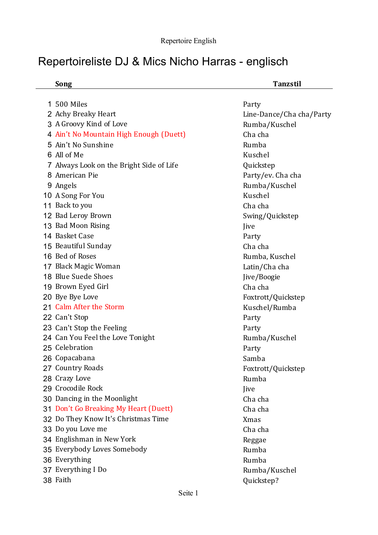## Repertoireliste DJ & Mics Nicho Harras - englisch

|    | Song                                     | <b>Tanzstil</b>          |
|----|------------------------------------------|--------------------------|
|    |                                          |                          |
| 1. | 500 Miles                                | Party                    |
|    | 2 Achy Breaky Heart                      | Line-Dance/Cha cha/Party |
|    | 3 A Groovy Kind of Love                  | Rumba/Kuschel            |
|    | 4 Ain't No Mountain High Enough (Duett)  | Cha cha                  |
|    | 5 Ain't No Sunshine                      | Rumba                    |
|    | 6 All of Me                              | Kuschel                  |
|    | 7 Always Look on the Bright Side of Life | Quickstep                |
|    | 8 American Pie                           | Party/ev. Cha cha        |
|    | 9 Angels                                 | Rumba/Kuschel            |
|    | 10 A Song For You                        | Kuschel                  |
|    | 11 Back to you                           | Cha cha                  |
|    | 12 Bad Leroy Brown                       | Swing/Quickstep          |
|    | 13 Bad Moon Rising                       | Jive                     |
|    | 14 Basket Case                           | Party                    |
|    | 15 Beautiful Sunday                      | Cha cha                  |
|    | 16 Bed of Roses                          | Rumba, Kuschel           |
|    | 17 Black Magic Woman                     | Latin/Cha cha            |
|    | 18 Blue Suede Shoes                      | Jive/Boogie              |
|    | 19 Brown Eyed Girl                       | Cha cha                  |
|    | 20 Bye Bye Love                          | Foxtrott/Quickstep       |
|    | 21 Calm After the Storm                  | Kuschel/Rumba            |
|    | 22 Can't Stop                            | Party                    |
|    | 23 Can't Stop the Feeling                | Party                    |
|    | 24 Can You Feel the Love Tonight         | Rumba/Kuschel            |
|    | 25 Celebration                           | Party                    |
|    | 26 Copacabana                            | Samba                    |
|    | 27 Country Roads                         | Foxtrott/Quickstep       |
|    | 28 Crazy Love                            | Rumba                    |
|    | 29 Crocodile Rock                        | Jive                     |
|    | 30 Dancing in the Moonlight              | Cha cha                  |
|    | 31 Don't Go Breaking My Heart (Duett)    | Cha cha                  |
|    | 32 Do They Know It's Christmas Time      | <b>Xmas</b>              |
|    | 33 Do you Love me                        | Cha cha                  |
|    | 34 Englishman in New York                | Reggae                   |
|    | 35 Everybody Loves Somebody              | Rumba                    |
|    | 36 Everything                            | Rumba                    |
|    | 37 Everything I Do                       | Rumba/Kuschel            |
|    | 38 Faith                                 | Quickstep?               |
|    |                                          |                          |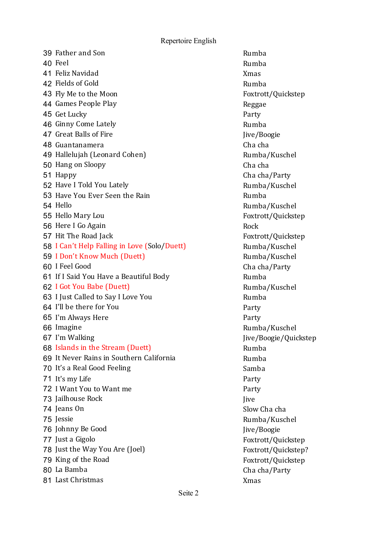Repertoire English

39 Father and Son Rumba 40 Feel Rumba **41 Feliz Navidad Xmas** Xmas 42 Fields of Gold Rumba 43 Fly Me to the Moon Foxtrott/Quickstep 44 Games People Play and the contract of the Reggae 45 Get Lucky Party 46 Ginny Come Lately **Rumba** 47 Great Balls of Fire Jive/Boogie **48 Guantanamera** Charles Charles Charles Charles Charles Charles Charles Charles Charles Charles Charles Charles Charles Charles Charles Charles Charles Charles Charles Charles Charles Charles Charles Charles Charles Char 49 Hallelujah (Leonard Cohen) Rumba/Kuschel 50 Hang on Sloopy Charles Charles Charles Charles Charles Charles Charles Charles Charles Charles Charles Charles Charles Charles Charles Charles Charles Charles Charles Charles Charles Charles Charles Charles Charles Char 51 Happy Cha cha/Party 52 Have I Told You Lately and the Controller Rumba/Kuschel 53 Have You Ever Seen the Rain **Example 2018** Rumba 54 Hello Rumba/Kuschel 55 Hello Mary Lou **Foxtrott/Quickstep** 56 Here I Go Again Rock 57 Hit The Road Jack **Foxtrott/Quickstep** 58 I Can't Help Falling in Love (Solo/Duett) Rumba/Kuschel 59 I Don't Know Much (Duett) Rumba/Kuschel 60 I Feel Good **Charles Charles Cha** cha/Party 61 If I Said You Have a Beautiful Body Theorem Rumba 62 I Got You Babe (Duett) Rumba/Kuschel 63 I Just Called to Say I Love You **Rumba** 64 I'll be there for You **Party** 65 I'm Always Here **Party** 66 Imagine **Rumba/Kuschel** 67 I'm Walking **Jive/Boogie/Quickstep** 68 Islands in the Stream (Duett) **Rumba** Rumba 69 It Never Rains in Southern California Theorem Rumba 70 It's a Real Good Feeling Samba 71 It's my Life Party 72 I Want You to Want me 73 Jailhouse Rock Jive **74 Jeans On** Slow Cha cha 75 Jessie Rumba/Kuschel 76 Johnny Be Good Jive/Boogie 77 Just a Gigolo **Foxtrott**/Quickstep 78 Just the Way You Are (Joel) Foxtrott/Quickstep? 79 King of the Road Foxtrott/Quickstep 80 La Bamba **Cha** Cha cha/Party 81 Last Christmas Xmas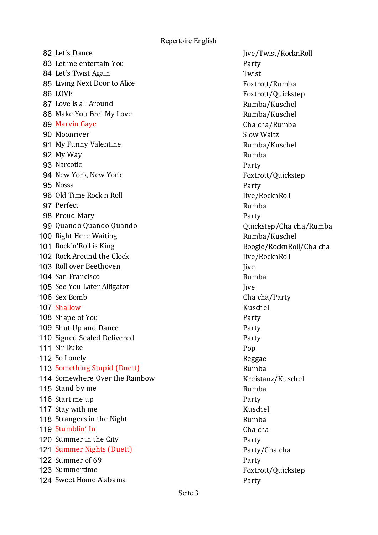Repertoire English

82 Let's Dance John Communication and the United States of Twist/RocknRoll 83 Let me entertain You **Party** Party 84 Let's Twist Again Twist 85 Living Next Door to Alice **Foxtrott/Rumba** 86 LOVE Foxtrott/Quickstep 87 Love is all Around **Rumba**/Kuschel 88 Make You Feel My Love and American control Rumba/Kuschel 89 Marvin Gaye **Characha** Cha cha/Rumba 90 Moonriver Slow Waltz 91 My Funny Valentine **Rumba**/Kuschel 92 My Way **Rumba** 93 Narcotic **Party** 94 New York, New York Foxtrott/Quickstep 95 Nossa Party 96 Old Time Rock n Roll Jive/RocknRoll Jive/RocknRoll 97 Perfect Rumba 98 Proud Mary **Party** Party 99 Quando Quando Quando  $\sim$  Quickstep/Cha cha/Rumba 100 Right Here Waiting **Rumba/Kuschel** Rumba/Kuschel 101 Rock'n'Roll is King and a state of the Boogie/RocknRoll/Cha cha 102 Rock Around the Clock 30 March 202 RocknRoll Jive/RocknRoll 103 Roll over Beethoven Jive 104 San Francisco **Rumba** Rumba 105 See You Later Alligator July 2016 105 See You Later Alligator 106 Sex Bomb **Cha** cha/Party 107 Shallow Kuschel **108** Shape of You **Party** 109 Shut Up and Dance Party 110 Signed Sealed Delivered **Party** 111 Sir Duke Pop 112 So Lonely **Reggae** 113 Something Stupid (Duett) **Rumba** Rumba 114 Somewhere Over the Rainbow Kreistanz/Kuschel 115 Stand by me 116 Start me up **Party 117** Stay with me **Kuschell** Stay Muschell Stay Kuschell Stay Kuschell Stay Kuschell 118 Strangers in the Night **Rumba** Rumba **119 Stumblin'** In Charles Charles Charles Charles Charles Charles Charles Charles Charles Charles Charles Charles Charles Charles Charles Charles Charles Charles Charles Charles Charles Charles Charles Charles Charles Cha 120 Summer in the City **Party** Party 121 Summer Nights (Duett) **Party/Chacha** 122 Summer of 69 Party 123 Summertime Foxtrott/Quickstep 124 Sweet Home Alabama **Party** Party